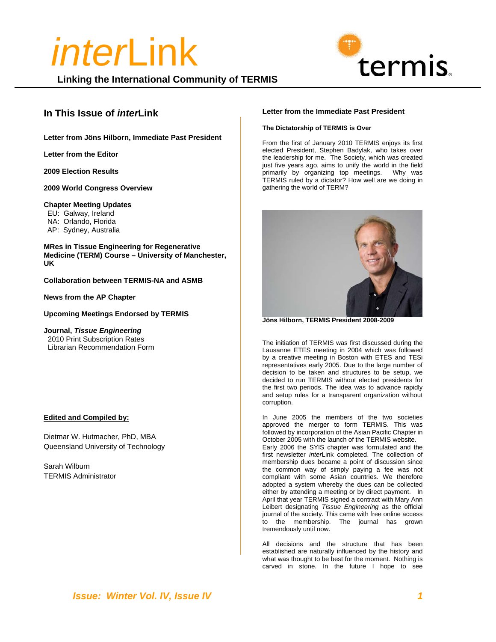**Linking the International Community of TERMIS**

#### **In This Issue of** *inter***Link**

**Letter from Jöns Hilborn, Immediate Past President**

**Letter from the Editor** 

**2009 Election Results** 

**2009 World Congress Overview** 

#### **Chapter Meeting Updates**

EU: Galway, Ireland

- NA: Orlando, Florida
- AP: Sydney, Australia

**MRes in Tissue Engineering for Regenerative Medicine (TERM) Course – University of Manchester, UK** 

**Collaboration between TERMIS-NA and ASMB** 

**News from the AP Chapter** 

**Upcoming Meetings Endorsed by TERMIS**

**Journal,** *Tissue Engineering*  2010 Print Subscription Rates Librarian Recommendation Form

#### **Edited and Compiled by:**

Dietmar W. Hutmacher, PhD, MBA Queensland University of Technology

Sarah Wilburn TERMIS Administrator

#### **Letter from the Immediate Past President**

termis.

#### **The Dictatorship of TERMIS is Over**

From the first of January 2010 TERMIS enjoys its first elected President, Stephen Badylak, who takes over the leadership for me. The Society, which was created just five years ago, aims to unify the world in the field primarily by organizing top meetings. Why was TERMIS ruled by a dictator? How well are we doing in gathering the world of TERM?



**Jöns Hilborn, TERMIS President 2008-2009** 

The initiation of TERMIS was first discussed during the Lausanne ETES meeting in 2004 which was followed by a creative meeting in Boston with ETES and TESi representatives early 2005. Due to the large number of decision to be taken and structures to be setup, we decided to run TERMIS without elected presidents for the first two periods. The idea was to advance rapidly and setup rules for a transparent organization without corruption.

In June 2005 the members of the two societies approved the merger to form TERMIS. This was followed by incorporation of the Asian Pacific Chapter in October 2005 with the launch of the TERMIS website. Early 2006 the SYIS chapter was formulated and the first newsletter *inter*Link completed. The collection of membership dues became a point of discussion since the common way of simply paying a fee was not compliant with some Asian countries. We therefore adopted a system whereby the dues can be collected either by attending a meeting or by direct payment. In April that year TERMIS signed a contract with Mary Ann Leibert designating *Tissue Engineering* as the official journal of the society. This came with free online access to the membership. The journal has grown tremendously until now.

All decisions and the structure that has been established are naturally influenced by the history and what was thought to be best for the moment. Nothing is carved in stone. In the future I hope to see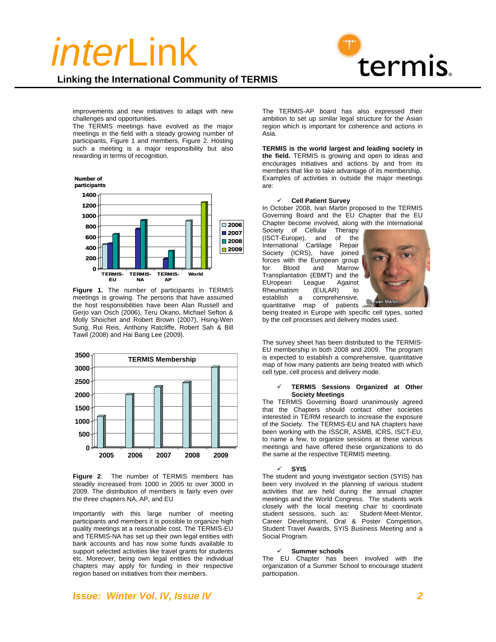



improvements and new initiatives to adapt with new challenges and opportunities.

The TERMIS meetings have evolved as the major meetings in the field with a steady growing number of participants, Figure 1 and members, Figure 2. Hosting such a meeting is a major responsibility but also rewarding in terms of recognition.



**Figure 1.** The number of participants in TERMIS meetings is growing. The persons that have assumed the host responsibilities have been Alan Russell and Gerjo van Osch (2006), Teru Okano, Michael Sefton & Molly Shoichet and Robert Brown (2007), Hsing-Wen Sung, Rui Reis, Anthony Ratcliffe, Robert Sah & Bill Tawil (2008) and Hai Bang Lee (2009).



**Figure 2**. The number of TERMIS members has steadily increased from 1000 in 2005 to over 3000 in 2009. The distribution of members is fairly even over the three chapters NA, AP, and EU.

Importantly with this large number of meeting participants and members it is possible to organize high quality meetings at a reasonable cost. The TERMIS-EU and TERMIS-NA has set up their own legal entities with bank accounts and has now some funds available to support selected activities like travel grants for students etc. Moreover, being own legal entities the individual chapters may apply for funding in their respective region based on initiatives from their members.

The TERMIS-AP board has also expressed their ambition to set up similar legal structure for the Asian region which is important for coherence and actions in Asia.

**TERMIS is the world largest and leading society in the field.** TERMIS is growing and open to ideas and encourages initiatives and actions by and from its members that like to take advantage of its membership. Examples of activities in outside the major meetings are:

#### 9 **Cell Patient Survey**

In October 2008, Ivan Martin proposed to the TERMIS Governing Board and the EU Chapter that the EU Chapter become involved, along with the International

Society of Cellular Therapy (ISCT-Europe), and of the International Cartilage Repair Society (ICRS), have joined forces with the European group for Blood and Marrow Transplantation (EBMT) and the EUropean League Against Rheumatism (EULAR) to<br>establish a comprehensive, comprehensive, quantitative map of patients



being treated in Europe with specific cell types, sorted by the cell processes and delivery modes used.

The survey sheet has been distributed to the TERMIS-EU membership in both 2008 and 2009. The program is expected to establish a comprehensive, quantitative map of how many patients are being treated with which cell type, cell process and delivery mode.

#### 9 **TERMIS Sessions Organized at Other Society Meetings**

The TERMIS Governing Board unanimously agreed that the Chapters should contact other societies interested in TE/RM research to increase the exposure of the Society. The TERMIS-EU and NA chapters have been working with the ISSCR, ASMB, ICRS, ISCT-EU, to name a few, to organize sessions at these various meetings and have offered these organizations to do the same at the respective TERMIS meeting.

#### 9 **SYIS**

The student and young investigator section (SYIS) has been very involved in the planning of various student activities that are held during the annual chapter meetings and the World Congress. The students work closely with the local meeting chair to coordinate student sessions, such as: Student-Meet-Mentor, Career Development, Oral & Poster Competition, Student Travel Awards, SYIS Business Meeting and a Social Program.

#### 9 **Summer schools**

The EU Chapter has been involved with the organization of a Summer School to encourage student participation.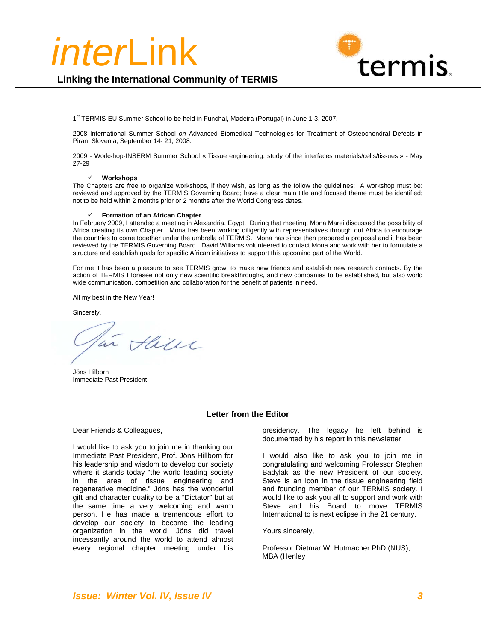

#### **Linking the International Community of TERMIS**

1<sup>st</sup> TERMIS-EU Summer School to be held in Funchal, Madeira (Portugal) in June 1-3, 2007.

2008 International Summer School *on* Advanced Biomedical Technologies for Treatment of Osteochondral Defects in Piran, Slovenia, September 14- 21, 2008.

2009 - Workshop-INSERM Summer School « Tissue engineering: study of the interfaces materials/cells/tissues » - May 27-29

#### 9 **Workshops**

The Chapters are free to organize workshops, if they wish, as long as the follow the guidelines: A workshop must be: reviewed and approved by the TERMIS Governing Board; have a clear main title and focused theme must be identified; not to be held within 2 months prior or 2 months after the World Congress dates.

#### 9 **Formation of an African Chapter**

In February 2009, I attended a meeting in Alexandria, Egypt. During that meeting, Mona Marei discussed the possibility of Africa creating its own Chapter. Mona has been working diligently with representatives through out Africa to encourage the countries to come together under the umbrella of TERMIS. Mona has since then prepared a proposal and it has been reviewed by the TERMIS Governing Board. David Williams volunteered to contact Mona and work with her to formulate a structure and establish goals for specific African initiatives to support this upcoming part of the World.

For me it has been a pleasure to see TERMIS grow, to make new friends and establish new research contacts. By the action of TERMIS I foresee not only new scientific breakthroughs, and new companies to be established, but also world wide communication, competition and collaboration for the benefit of patients in need.

All my best in the New Year!

Sincerely,

in Alien

Jöns Hilborn Immediate Past President

#### **Letter from the Editor**

Dear Friends & Colleagues,

I would like to ask you to join me in thanking our Immediate Past President, Prof. Jöns Hillborn for his leadership and wisdom to develop our society where it stands today "the world leading society in the area of tissue engineering and regenerative medicine." Jöns has the wonderful gift and character quality to be a "Dictator" but at the same time a very welcoming and warm person. He has made a tremendous effort to develop our society to become the leading organization in the world. Jöns did travel incessantly around the world to attend almost every regional chapter meeting under his

presidency. The legacy he left behind is documented by his report in this newsletter.

I would also like to ask you to join me in congratulating and welcoming Professor Stephen Badylak as the new President of our society. Steve is an icon in the tissue engineering field and founding member of our TERMIS society. I would like to ask you all to support and work with Steve and his Board to move TERMIS International to is next eclipse in the 21 century.

Yours sincerely,

Professor Dietmar W. Hutmacher PhD (NUS), MBA (Henley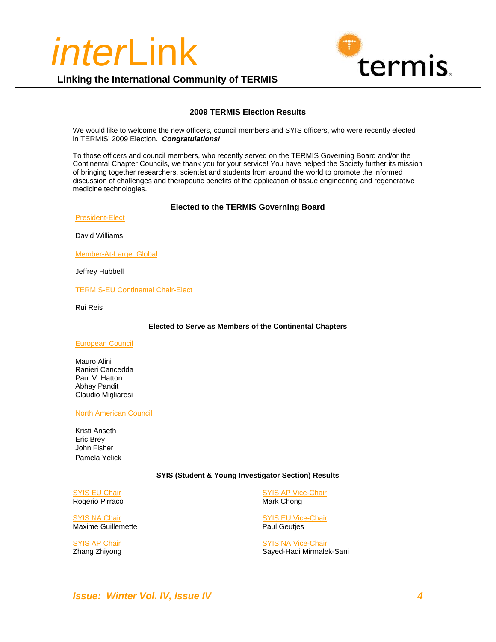



#### **2009 TERMIS Election Results**

We would like to welcome the new officers, council members and SYIS officers, who were recently elected in TERMIS' 2009 Election. *Congratulations!*

To those officers and council members, who recently served on the TERMIS Governing Board and/or the Continental Chapter Councils, we thank you for your service! You have helped the Society further its mission of bringing together researchers, scientist and students from around the world to promote the informed discussion of challenges and therapeutic benefits of the application of tissue engineering and regenerative medicine technologies.

#### **Elected to the TERMIS Governing Board**

President-Elect

David Williams

Member-At-Large: Global

Jeffrey Hubbell

TERMIS-EU Continental Chair-Elect

Rui Reis

**Elected to Serve as Members of the Continental Chapters** 

#### European Council

Mauro Alini Ranieri Cancedda Paul V. Hatton Abhay Pandit Claudio Migliaresi

#### North American Council

Kristi Anseth Eric Brey John Fisher Pamela Yelick

#### **SYIS (Student & Young Investigator Section) Results**

SYIS EU Chair Rogerio Pirraco

SYIS NA Chair Maxime Guillemette

SYIS AP Chair Zhang Zhiyong

SYIS AP Vice-Chair Mark Chong

SYIS EU Vice-Chair Paul Geutjes

SYIS NA Vice-Chair Sayed-Hadi Mirmalek-Sani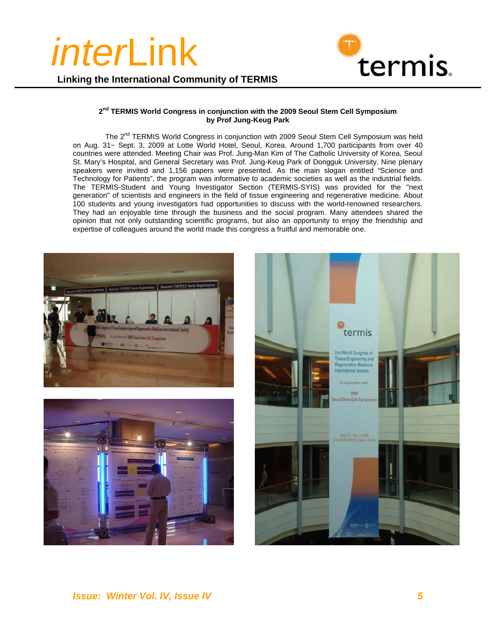

**Linking the International Community of TERMIS**

#### **2nd TERMIS World Congress in conjunction with the 2009 Seoul Stem Cell Symposium by Prof Jung-Keug Park**

The 2<sup>nd</sup> TERMIS World Congress in conjunction with 2009 Seoul Stem Cell Symposium was held on Aug. 31~ Sept. 3, 2009 at Lotte World Hotel, Seoul, Korea. Around 1,700 participants from over 40 countries were attended. Meeting Chair was Prof. Jung-Man Kim of The Catholic University of Korea, Seoul St. Mary's Hospital, and General Secretary was Prof. Jung-Keug Park of Dongguk University. Nine plenary speakers were invited and 1,156 papers were presented. As the main slogan entitled "Science and Technology for Patients", the program was informative to academic societies as well as the industrial fields. The TERMIS-Student and Young Investigator Section (TERMIS-SYIS) was provided for the "next generation" of scientists and engineers in the field of tissue engineering and regenerative medicine. About 100 students and young investigators had opportunities to discuss with the world-renowned researchers. They had an enjoyable time through the business and the social program. Many attendees shared the opinion that not only outstanding scientific programs, but also an opportunity to enjoy the friendship and expertise of colleagues around the world made this congress a fruitful and memorable one.

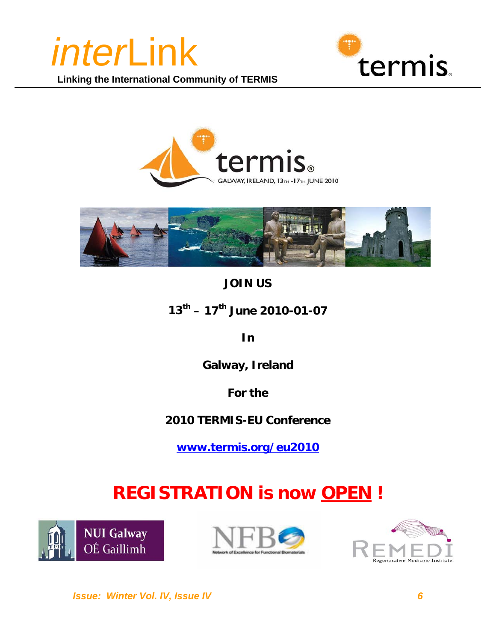







## **JOIN US**

**13th – 17th June 2010-01-07** 

**In** 

**Galway, Ireland** 

**For the** 

## **2010 TERMIS-EU Conference**

**www.termis.org/eu2010** 

## **REGISTRATION is now OPEN !**





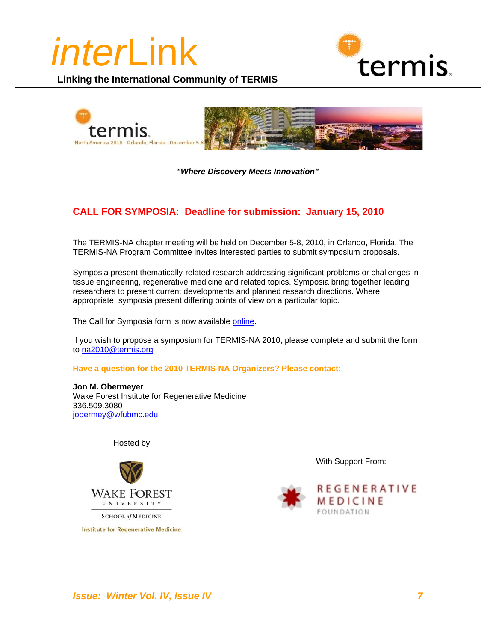





*"Where Discovery Meets Innovation"*

#### **CALL FOR SYMPOSIA: Deadline for submission: January 15, 2010**

The TERMIS-NA chapter meeting will be held on December 5-8, 2010, in Orlando, Florida. The TERMIS-NA Program Committee invites interested parties to submit symposium proposals.

Symposia present thematically-related research addressing significant problems or challenges in tissue engineering, regenerative medicine and related topics. Symposia bring together leading researchers to present current developments and planned research directions. Where appropriate, symposia present differing points of view on a particular topic.

The Call for Symposia form is now available online.

If you wish to propose a symposium for TERMIS-NA 2010, please complete and submit the form to na2010@termis.org

**Have a question for the 2010 TERMIS-NA Organizers? Please contact:** 

**Jon M. Obermeyer** Wake Forest Institute for Regenerative Medicine 336.509.3080 jobermey@wfubmc.edu

Hosted by:



**SCHOOL of MEDICINE** 

**Institute for Regenerative Medicine** 

With Support From:

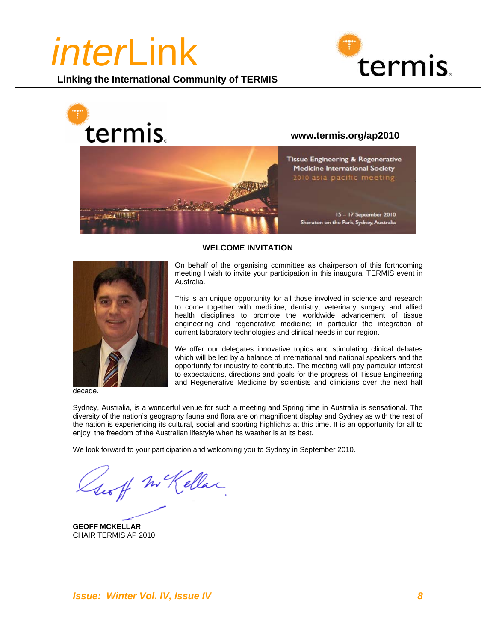







decade.

#### **WELCOME INVITATION**

On behalf of the organising committee as chairperson of this forthcoming meeting I wish to invite your participation in this inaugural TERMIS event in Australia.

This is an unique opportunity for all those involved in science and research to come together with medicine, dentistry, veterinary surgery and allied health disciplines to promote the worldwide advancement of tissue engineering and regenerative medicine; in particular the integration of current laboratory technologies and clinical needs in our region.

We offer our delegates innovative topics and stimulating clinical debates which will be led by a balance of international and national speakers and the opportunity for industry to contribute. The meeting will pay particular interest to expectations, directions and goals for the progress of Tissue Engineering and Regenerative Medicine by scientists and clinicians over the next half

Sydney, Australia, is a wonderful venue for such a meeting and Spring time in Australia is sensational. The diversity of the nation's geography fauna and flora are on magnificent display and Sydney as with the rest of the nation is experiencing its cultural, social and sporting highlights at this time. It is an opportunity for all to enjoy the freedom of the Australian lifestyle when its weather is at its best.

We look forward to your participation and welcoming you to Sydney in September 2010.

set m Kellar

**GEOFF MCKELLAR**  CHAIR TERMIS AP 2010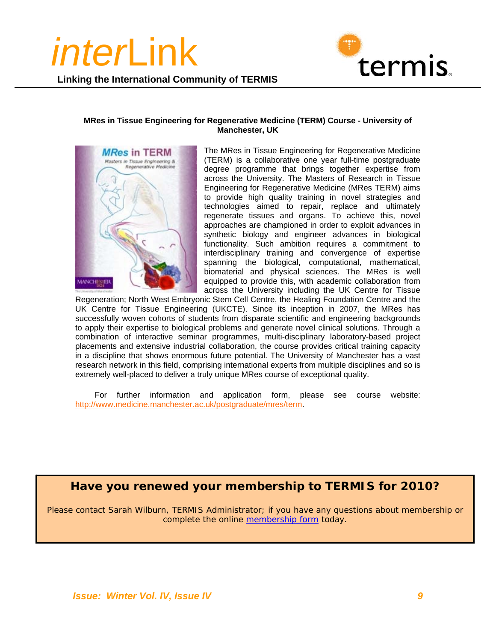

**Linking the International Community of TERMIS**

#### **MRes in Tissue Engineering for Regenerative Medicine (TERM) Course - University of Manchester, UK**



The MRes in Tissue Engineering for Regenerative Medicine (TERM) is a collaborative one year full-time postgraduate degree programme that brings together expertise from across the University. The Masters of Research in Tissue Engineering for Regenerative Medicine (MRes TERM) aims to provide high quality training in novel strategies and technologies aimed to repair, replace and ultimately regenerate tissues and organs. To achieve this, novel approaches are championed in order to exploit advances in synthetic biology and engineer advances in biological functionality. Such ambition requires a commitment to interdisciplinary training and convergence of expertise spanning the biological, computational, mathematical, biomaterial and physical sciences. The MRes is well equipped to provide this, with academic collaboration from across the University including the UK Centre for Tissue

Regeneration; North West Embryonic Stem Cell Centre, the Healing Foundation Centre and the UK Centre for Tissue Engineering (UKCTE). Since its inception in 2007, the MRes has successfully woven cohorts of students from disparate scientific and engineering backgrounds to apply their expertise to biological problems and generate novel clinical solutions. Through a combination of interactive seminar programmes, multi-disciplinary laboratory-based project placements and extensive industrial collaboration, the course provides critical training capacity in a discipline that shows enormous future potential. The University of Manchester has a vast research network in this field, comprising international experts from multiple disciplines and so is extremely well-placed to deliver a truly unique MRes course of exceptional quality.

For further information and application form, please see course website: http://www.medicine.manchester.ac.uk/postgraduate/mres/term.

### **Have you renewed your membership to TERMIS for 2010?**

Please contact Sarah Wilburn, TERMIS Administrator; if you have any questions about membership or complete the online membership form today.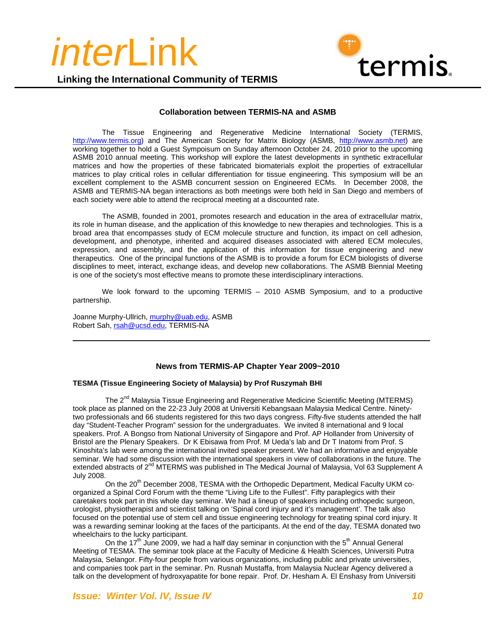



#### **Collaboration between TERMIS-NA and ASMB**

The Tissue Engineering and Regenerative Medicine International Society (TERMIS, http://www.termis.org) and The American Society for Matrix Biology (ASMB, http://www.asmb.net) are working together to hold a Guest Sympoisum on Sunday afternoon October 24, 2010 prior to the upcoming ASMB 2010 annual meeting. This workshop will explore the latest developments in synthetic extracellular matrices and how the properties of these fabricated biomaterials exploit the properties of extracellular matrices to play critical roles in cellular differentiation for tissue engineering. This symposium will be an excellent complement to the ASMB concurrent session on Engineered ECMs. In December 2008, the ASMB and TERMIS-NA began interactions as both meetings were both held in San Diego and members of each society were able to attend the reciprocal meeting at a discounted rate.

The ASMB, founded in 2001, promotes research and education in the area of extracellular matrix, its role in human disease, and the application of this knowledge to new therapies and technologies. This is a broad area that encompasses study of ECM molecule structure and function, its impact on cell adhesion, development, and phenotype, inherited and acquired diseases associated with altered ECM molecules, expression, and assembly, and the application of this information for tissue engineering and new therapeutics. One of the principal functions of the ASMB is to provide a forum for ECM biologists of diverse disciplines to meet, interact, exchange ideas, and develop new collaborations. The ASMB Biennial Meeting is one of the society's most effective means to promote these interdisciplinary interactions.

We look forward to the upcoming TERMIS – 2010 ASMB Symposium, and to a productive partnership.

Joanne Murphy-Ullrich, murphy@uab.edu, ASMB Robert Sah, rsah@ucsd.edu, TERMIS-NA

#### **News from TERMIS-AP Chapter Year 2009~2010**

#### **TESMA (Tissue Engineering Society of Malaysia) by Prof Ruszymah BHI**

The 2<sup>nd</sup> Malaysia Tissue Engineering and Regenerative Medicine Scientific Meeting (MTERMS) took place as planned on the 22-23 July 2008 at Universiti Kebangsaan Malaysia Medical Centre. Ninetytwo professionals and 66 students registered for this two days congress. Fifty-five students attended the half day "Student-Teacher Program" session for the undergraduates. We invited 8 international and 9 local speakers. Prof. A Bongso from National University of Singapore and Prof. AP Hollander from University of Bristol are the Plenary Speakers. Dr K Ebisawa from Prof. M Ueda's lab and Dr T Inatomi from Prof. S Kinoshita's lab were among the international invited speaker present. We had an informative and enjoyable seminar. We had some discussion with the international speakers in view of collaborations in the future. The extended abstracts of 2<sup>nd</sup> MTERMS was published in The Medical Journal of Malaysia, Vol 63 Supplement A July 2008.

On the 20<sup>th</sup> December 2008, TESMA with the Orthopedic Department, Medical Faculty UKM coorganized a Spinal Cord Forum with the theme "Living Life to the Fullest". Fifty paraplegics with their caretakers took part in this whole day seminar. We had a lineup of speakers including orthopedic surgeon, urologist, physiotherapist and scientist talking on 'Spinal cord injury and it's management'. The talk also focused on the potential use of stem cell and tissue engineering technology for treating spinal cord injury. It was a rewarding seminar looking at the faces of the participants. At the end of the day, TESMA donated two wheelchairs to the lucky participant.

On the 17<sup>th</sup> June 2009, we had a half day seminar in conjunction with the 5<sup>th</sup> Annual General Meeting of TESMA. The seminar took place at the Faculty of Medicine & Health Sciences, Universiti Putra Malaysia, Selangor. Fifty-four people from various organizations, including public and private universities, and companies took part in the seminar. Pn. Rusnah Mustaffa, from Malaysia Nuclear Agency delivered a talk on the development of hydroxyapatite for bone repair. Prof. Dr. Hesham A. El Enshasy from Universiti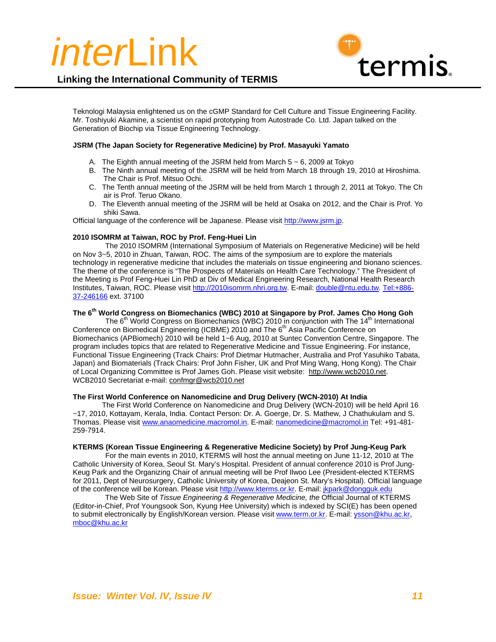



Teknologi Malaysia enlightened us on the cGMP Standard for Cell Culture and Tissue Engineering Facility. Mr. Toshiyuki Akamine, a scientist on rapid prototyping from Autostrade Co. Ltd. Japan talked on the Generation of Biochip via Tissue Engineering Technology.

#### **JSRM (The Japan Society for Regenerative Medicine) by Prof. Masayuki Yamato**

- A. The Eighth annual meeting of the JSRM held from March  $5 \sim 6$ , 2009 at Tokyo
- B. The Ninth annual meeting of the JSRM will be held from March 18 through 19, 2010 at Hiroshima. The Chair is Prof. Mitsuo Ochi.
- C. The Tenth annual meeting of the JSRM will be held from March 1 through 2, 2011 at Tokyo. The Ch air is Prof. Teruo Okano.
- D. The Eleventh annual meeting of the JSRM will be held at Osaka on 2012, and the Chair is Prof. Yo shiki Sawa.

Official language of the conference will be Japanese. Please visit http://www.jsrm.jp.

#### **2010 ISOMRM at Taiwan, ROC by Prof. Feng-Huei Lin**

The 2010 ISOMRM (International Symposium of Materials on Regenerative Medicine) will be held on Nov 3~5, 2010 in Zhuan, Taiwan, ROC. The aims of the symposium are to explore the materials technology in regenerative medicine that includes the materials on tissue engineering and bionano sciences. The theme of the conference is "The Prospects of Materials on Health Care Technology." The President of the Meeting is Prof Feng-Huei Lin PhD at Div of Medical Engineering Research, National Health Research Institutes, Taiwan, ROC. Please visit http://2010isomrm.nhri.org.tw. E-mail: double@ntu.edu.tw. Tel:+886- 37-246166 ext. 37100

#### **The 6th World Congress on Biomechanics (WBC) 2010 at Singapore by Prof. James Cho Hong Goh**

The 6<sup>th</sup> World Congress on Biomechanics (WBC) 2010 in conjunction with The 14<sup>th</sup> International Conference on Biomedical Engineering (ICBME) 2010 and The 6<sup>th</sup> Asia Pacific Conference on Biomechanics (APBiomech) 2010 will be held 1~6 Aug, 2010 at Suntec Convention Centre, Singapore. The program includes topics that are related to Regenerative Medicine and Tissue Engineering. For instance, Functional Tissue Engineering (Track Chairs: Prof Dietmar Hutmacher, Australia and Prof Yasuhiko Tabata, Japan) and Biomaterials (Track Chairs: Prof John Fisher, UK and Prof Ming Wang, Hong Kong). The Chair of Local Organizing Committee is Prof James Goh. Please visit website: http://www.wcb2010.net. WCB2010 Secretariat e-mail: confmgr@wcb2010.net

#### **The First World Conference on Nanomedicine and Drug Delivery (WCN-2010) At India**

 The First World Conference on Nanomedicine and Drug Delivery (WCN-2010) will be held April 16 ~17, 2010, Kottayam, Kerala, India. Contact Person: Dr. A. Goerge, Dr. S. Mathew, J Chathukulam and S. Thomas. Please visit www.anaomedicine.macromol.in. E-mail: nanomedicine@macromol.in Tel: +91-481- 259-7914.

#### **KTERMS (Korean Tissue Engineering & Regenerative Medicine Society) by Prof Jung-Keug Park**

For the main events in 2010, KTERMS will host the annual meeting on June 11-12, 2010 at The Catholic University of Korea, Seoul St. Mary's Hospital. President of annual conference 2010 is Prof Jung-Keug Park and the Organizing Chair of annual meeting will be Prof Ilwoo Lee (President-elected KTERMS for 2011, Dept of Neurosurgery, Catholic University of Korea, Deajeon St. Mary's Hospital). Official language of the conference will be Korean. Please visit http://www.kterms.or.kr. E-mail: jkpark@dongguk.edu

The Web Site of *Tissue Engineering & Regenerative Medicine, the* Official Journal of KTERMS (Editor-in-Chief, Prof Youngsook Son, Kyung Hee University) which is indexed by SCI(E) has been opened to submit electronically by English/Korean version. Please visit www.term.or.kr. E-mail: ysson@khu.ac.kr, mboc@khu.ac.kr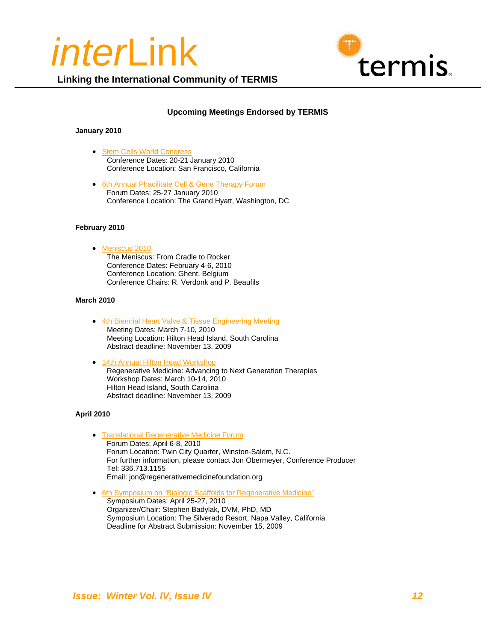



## **Upcoming Meetings Endorsed by TERMIS**

#### **January 2010**

• Stem Cells World Congress Conference Dates: 20-21 January 2010 Conference Location: San Francisco, California

**Linking the International Community of TERMIS**

• 6th Annual Phacilitate Cell & Gene Therapy Forum Forum Dates: 25-27 January 2010 Conference Location: The Grand Hyatt, Washington, DC

#### **February 2010**

• Meniscus 2010 The Meniscus: From Cradle to Rocker Conference Dates: February 4-6, 2010 Conference Location: Ghent, Belgium Conference Chairs: R. Verdonk and P. Beaufils

#### **March 2010**

- 4th Biennial Heart Valve & Tissue Engineering Meeting Meeting Dates: March 7-10, 2010 Meeting Location: Hilton Head Island, South Carolina Abstract deadline: November 13, 2009
- 14th Annual Hilton Head Workshop Regenerative Medicine: Advancing to Next Generation Therapies Workshop Dates: March 10-14, 2010 Hilton Head Island, South Carolina Abstract deadline: November 13, 2009

#### **April 2010**

- Translational Regenerative Medicine Forum Forum Dates: April 6-8, 2010 Forum Location: Twin City Quarter, Winston-Salem, N.C. For further information, please contact Jon Obermeyer, Conference Producer Tel: 336.713.1155 Email: jon@regenerativemedicinefoundation.org
- 6th Symposium on "Biologic Scaffolds for Regenerative Medicine" Symposium Dates: April 25-27, 2010 Organizer/Chair: Stephen Badylak, DVM, PhD, MD Symposium Location: The Silverado Resort, Napa Valley, California Deadline for Abstract Submission: November 15, 2009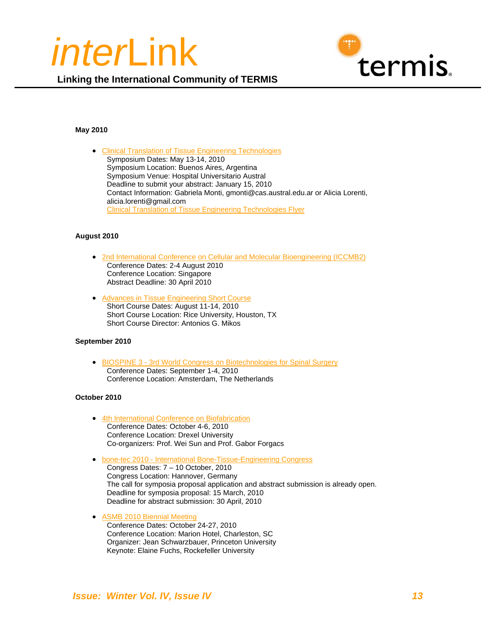



#### **May 2010**

• Clinical Translation of Tissue Engineering Technologies Symposium Dates: May 13-14, 2010 Symposium Location: Buenos Aires, Argentina Symposium Venue: Hospital Universitario Austral Deadline to submit your abstract: January 15, 2010 Contact Information: Gabriela Monti, gmonti@cas.austral.edu.ar or Alicia Lorenti, alicia.lorenti@gmail.com Clinical Translation of Tissue Engineering Technologies Flyer

#### **August 2010**

- 2nd International Conference on Cellular and Molecular Bioengineering (ICCMB2) Conference Dates: 2-4 August 2010 Conference Location: Singapore Abstract Deadline: 30 April 2010
- Advances in Tissue Engineering Short Course Short Course Dates: August 11-14, 2010 Short Course Location: Rice University, Houston, TX Short Course Director: Antonios G. Mikos

#### **September 2010**

• BIOSPINE 3 - 3rd World Congress on Biotechnologies for Spinal Surgery Conference Dates: September 1-4, 2010 Conference Location: Amsterdam, The Netherlands

#### **October 2010**

- 4th International Conference on Biofabrication Conference Dates: October 4-6, 2010 Conference Location: Drexel University Co-organizers: Prof. Wei Sun and Prof. Gabor Forgacs
- bone-tec 2010 International Bone-Tissue-Engineering Congress
	- Congress Dates: 7 10 October, 2010 Congress Location: Hannover, Germany The call for symposia proposal application and abstract submission is already open. Deadline for symposia proposal: 15 March, 2010 Deadline for abstract submission: 30 April, 2010
- ASMB 2010 Biennial Meeting Conference Dates: October 24-27, 2010 Conference Location: Marion Hotel, Charleston, SC Organizer: Jean Schwarzbauer, Princeton University Keynote: Elaine Fuchs, Rockefeller University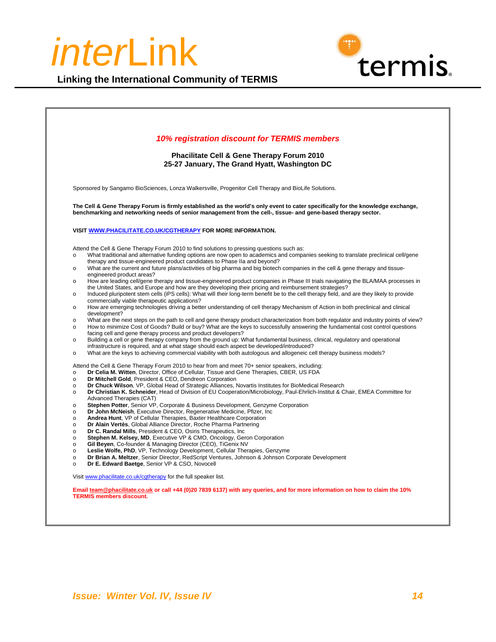

**Linking the International Community of TERMIS**

|                                                                                                                                                        | 10% registration discount for TERMIS members<br><b>Phacilitate Cell &amp; Gene Therapy Forum 2010</b><br>25-27 January, The Grand Hyatt, Washington DC                                                                                                                                                                                                                                                                                                                                                                                                                                                                                                                                                                                                                                                                                                                                                                                                                                                                                                                                                                                                                                                                                                                                                                                                                                                                                                                                                                                                                                                                                                                                                                                                                             |  |
|--------------------------------------------------------------------------------------------------------------------------------------------------------|------------------------------------------------------------------------------------------------------------------------------------------------------------------------------------------------------------------------------------------------------------------------------------------------------------------------------------------------------------------------------------------------------------------------------------------------------------------------------------------------------------------------------------------------------------------------------------------------------------------------------------------------------------------------------------------------------------------------------------------------------------------------------------------------------------------------------------------------------------------------------------------------------------------------------------------------------------------------------------------------------------------------------------------------------------------------------------------------------------------------------------------------------------------------------------------------------------------------------------------------------------------------------------------------------------------------------------------------------------------------------------------------------------------------------------------------------------------------------------------------------------------------------------------------------------------------------------------------------------------------------------------------------------------------------------------------------------------------------------------------------------------------------------|--|
|                                                                                                                                                        |                                                                                                                                                                                                                                                                                                                                                                                                                                                                                                                                                                                                                                                                                                                                                                                                                                                                                                                                                                                                                                                                                                                                                                                                                                                                                                                                                                                                                                                                                                                                                                                                                                                                                                                                                                                    |  |
|                                                                                                                                                        | Sponsored by Sangamo BioSciences, Lonza Walkersville, Progenitor Cell Therapy and BioLife Solutions.                                                                                                                                                                                                                                                                                                                                                                                                                                                                                                                                                                                                                                                                                                                                                                                                                                                                                                                                                                                                                                                                                                                                                                                                                                                                                                                                                                                                                                                                                                                                                                                                                                                                               |  |
|                                                                                                                                                        | The Cell & Gene Therapy Forum is firmly established as the world's only event to cater specifically for the knowledge exchange,<br>benchmarking and networking needs of senior management from the cell-, tissue- and gene-based therapy sector.                                                                                                                                                                                                                                                                                                                                                                                                                                                                                                                                                                                                                                                                                                                                                                                                                                                                                                                                                                                                                                                                                                                                                                                                                                                                                                                                                                                                                                                                                                                                   |  |
|                                                                                                                                                        | VISIT WWW.PHACILITATE.CO.UK/CGTHERAPY FOR MORE INFORMATION.                                                                                                                                                                                                                                                                                                                                                                                                                                                                                                                                                                                                                                                                                                                                                                                                                                                                                                                                                                                                                                                                                                                                                                                                                                                                                                                                                                                                                                                                                                                                                                                                                                                                                                                        |  |
| $\circ$<br>$\circ$<br>$\Omega$<br>$\circ$<br>$\circ$<br>$\Omega$<br>$\circ$<br>$\circ$                                                                 | Attend the Cell & Gene Therapy Forum 2010 to find solutions to pressing questions such as:<br>What traditional and alternative funding options are now open to academics and companies seeking to translate preclinical cell/gene<br>therapy and tissue-engineered product candidates to Phase IIa and beyond?<br>What are the current and future plans/activities of big pharma and big biotech companies in the cell & gene therapy and tissue-<br>engineered product areas?<br>How are leading cell/gene therapy and tissue-engineered product companies in Phase III trials navigating the BLA/MAA processes in<br>the United States, and Europe and how are they developing their pricing and reimbursement strategies?<br>Induced pluripotent stem cells (iPS cells): What will their long-term benefit be to the cell therapy field, and are they likely to provide<br>commercially viable therapeutic applications?<br>How are emerging technologies driving a better understanding of cell therapy Mechanism of Action in both preclinical and clinical<br>development?<br>What are the next steps on the path to cell and gene therapy product characterization from both regulator and industry points of view?<br>How to minimize Cost of Goods? Build or buy? What are the keys to successfully answering the fundamental cost control questions<br>facing cell and gene therapy process and product developers?<br>Building a cell or gene therapy company from the ground up: What fundamental business, clinical, regulatory and operational<br>infrastructure is required, and at what stage should each aspect be developed/introduced?<br>What are the keys to achieving commercial viability with both autologous and allogeneic cell therapy business models? |  |
| $\circ$<br>$\circ$<br>$\circ$<br>$\circ$<br>$\circ$<br>$\circ$<br>$\circ$<br>$\circ$<br>$\circ$<br>$\circ$<br>$\circ$<br>$\circ$<br>$\circ$<br>$\circ$ | Attend the Cell & Gene Therapy Forum 2010 to hear from and meet 70+ senior speakers, including:<br>Dr Celia M. Witten, Director, Office of Cellular, Tissue and Gene Therapies, CBER, US FDA<br>Dr Mitchell Gold, President & CEO, Dendreon Corporation<br>Dr Chuck Wilson, VP, Global Head of Strategic Alliances, Novartis Institutes for BioMedical Research<br>Dr Christian K. Schneider, Head of Division of EU Cooperation/Microbiology, Paul-Ehrlich-Institut & Chair, EMEA Committee for<br>Advanced Therapies (CAT)<br>Stephen Potter, Senior VP, Corporate & Business Development, Genzyme Corporation<br>Dr John McNeish, Executive Director, Regenerative Medicine, Pfizer, Inc.<br>Andrea Hunt, VP of Cellular Therapies, Baxter Healthcare Corporation<br>Dr Alain Vertès. Global Alliance Director. Roche Pharma Partnering<br>Dr C. Randal Mills, President & CEO, Osiris Therapeutics, Inc.<br>Stephen M. Kelsey, MD, Executive VP & CMO, Oncology, Geron Corporation<br>Gil Beyen, Co-founder & Managing Director (CEO), TiGenix NV<br>Leslie Wolfe, PhD, VP, Technology Development, Cellular Therapies, Genzyme<br>Dr Brian A. Meltzer, Senior Director, RedScript Ventures, Johnson & Johnson Corporate Development<br>Dr E. Edward Baetge, Senior VP & CSO, Novocell<br>Visit www.phacilitate.co.uk/cqtherapy for the full speaker list.                                                                                                                                                                                                                                                                                                                                                                                                                     |  |
|                                                                                                                                                        | Email team@phacilitate.co.uk or call +44 (0)20 7839 6137) with any queries, and for more information on how to claim the 10%                                                                                                                                                                                                                                                                                                                                                                                                                                                                                                                                                                                                                                                                                                                                                                                                                                                                                                                                                                                                                                                                                                                                                                                                                                                                                                                                                                                                                                                                                                                                                                                                                                                       |  |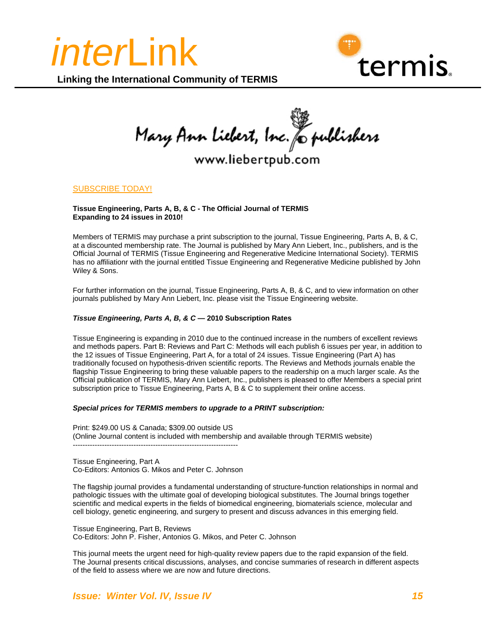



Mary Ann Liebert, Inc. & publishers

## www.liebertpub.com

#### SUBSCRIBE TODAY!

#### **Tissue Engineering, Parts A, B, & C - The Official Journal of TERMIS Expanding to 24 issues in 2010!**

Members of TERMIS may purchase a print subscription to the journal, Tissue Engineering, Parts A, B, & C, at a discounted membership rate. The Journal is published by Mary Ann Liebert, Inc., publishers, and is the Official Journal of TERMIS (Tissue Engineering and Regenerative Medicine International Society). TERMIS has no affiliationr with the journal entitled Tissue Engineering and Regenerative Medicine published by John Wiley & Sons.

For further information on the journal, Tissue Engineering, Parts A, B, & C, and to view information on other journals published by Mary Ann Liebert, Inc. please visit the Tissue Engineering website.

#### *Tissue Engineering, Parts A, B, & C* **— 2010 Subscription Rates**

Tissue Engineering is expanding in 2010 due to the continued increase in the numbers of excellent reviews and methods papers. Part B: Reviews and Part C: Methods will each publish 6 issues per year, in addition to the 12 issues of Tissue Engineering, Part A, for a total of 24 issues. Tissue Engineering (Part A) has traditionally focused on hypothesis-driven scientific reports. The Reviews and Methods journals enable the flagship Tissue Engineering to bring these valuable papers to the readership on a much larger scale. As the Official publication of TERMIS, Mary Ann Liebert, Inc., publishers is pleased to offer Members a special print subscription price to Tissue Engineering, Parts A, B & C to supplement their online access.

#### *Special prices for TERMIS members to upgrade to a PRINT subscription:*

Print: \$249.00 US & Canada; \$309.00 outside US (Online Journal content is included with membership and available through TERMIS website) --------------------------------------------------------------------

Tissue Engineering, Part A Co-Editors: Antonios G. Mikos and Peter C. Johnson

The flagship journal provides a fundamental understanding of structure-function relationships in normal and pathologic tissues with the ultimate goal of developing biological substitutes. The Journal brings together scientific and medical experts in the fields of biomedical engineering, biomaterials science, molecular and cell biology, genetic engineering, and surgery to present and discuss advances in this emerging field.

Tissue Engineering, Part B, Reviews Co-Editors: John P. Fisher, Antonios G. Mikos, and Peter C. Johnson

This journal meets the urgent need for high-quality review papers due to the rapid expansion of the field. The Journal presents critical discussions, analyses, and concise summaries of research in different aspects of the field to assess where we are now and future directions.